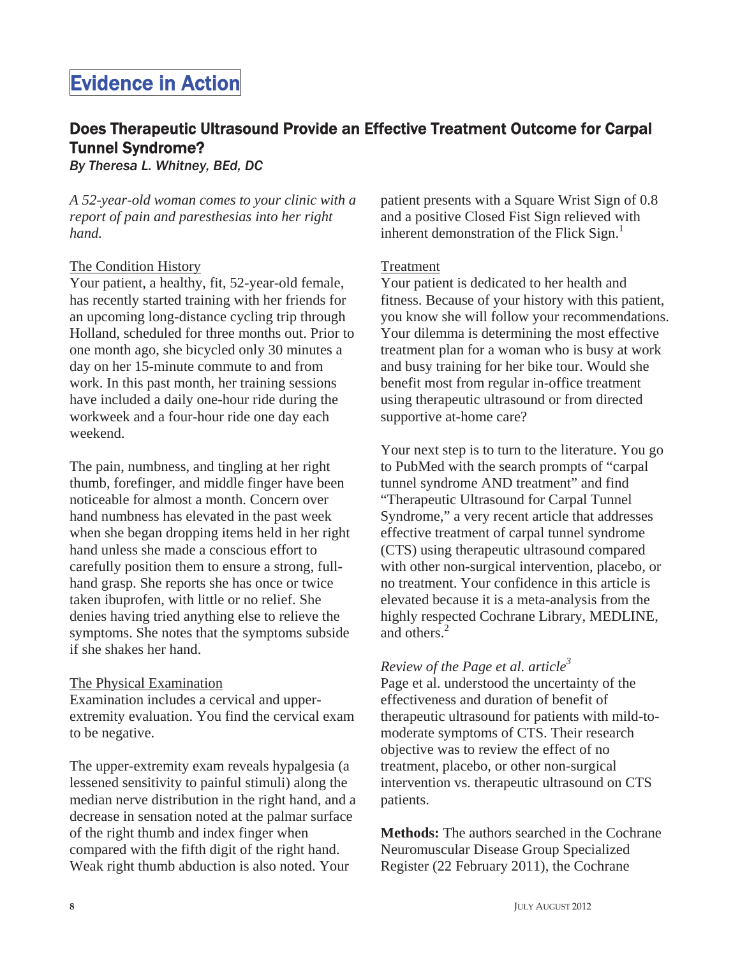# Evidence in Action

# Does Therapeutic Ultrasound Provide an Effective Treatment Outcome for Carpal Tunnel Syndrome?

*By Theresa L. Whitney, BEd, DC*

*A 52-year-old woman comes to your clinic with a report of pain and paresthesias into her right hand.*

### The Condition History

Your patient, a healthy, fit, 52-year-old female, has recently started training with her friends for an upcoming long-distance cycling trip through Holland, scheduled for three months out. Prior to one month ago, she bicycled only 30 minutes a day on her 15-minute commute to and from work. In this past month, her training sessions have included a daily one-hour ride during the workweek and a four-hour ride one day each weekend.

The pain, numbness, and tingling at her right thumb, forefinger, and middle finger have been noticeable for almost a month. Concern over hand numbness has elevated in the past week when she began dropping items held in her right hand unless she made a conscious effort to carefully position them to ensure a strong, fullhand grasp. She reports she has once or twice taken ibuprofen, with little or no relief. She denies having tried anything else to relieve the symptoms. She notes that the symptoms subside if she shakes her hand.

#### The Physical Examination

Examination includes a cervical and upperextremity evaluation. You find the cervical exam to be negative.

The upper-extremity exam reveals hypalgesia (a lessened sensitivity to painful stimuli) along the median nerve distribution in the right hand, and a decrease in sensation noted at the palmar surface of the right thumb and index finger when compared with the fifth digit of the right hand. Weak right thumb abduction is also noted. Your

patient presents with a Square Wrist Sign of 0.8 and a positive Closed Fist Sign relieved with inherent demonstration of the Flick  $Sign.$ <sup>1</sup>

### Treatment

Your patient is dedicated to her health and fitness. Because of your history with this patient, you know she will follow your recommendations. Your dilemma is determining the most effective treatment plan for a woman who is busy at work and busy training for her bike tour. Would she benefit most from regular in-office treatment using therapeutic ultrasound or from directed supportive at-home care?

Your next step is to turn to the literature. You go to PubMed with the search prompts of "carpal tunnel syndrome AND treatment" and find "Therapeutic Ultrasound for Carpal Tunnel Syndrome," a very recent article that addresses effective treatment of carpal tunnel syndrome (CTS) using therapeutic ultrasound compared with other non-surgical intervention, placebo, or no treatment. Your confidence in this article is elevated because it is a meta-analysis from the highly respected Cochrane Library, MEDLINE, and others.<sup>2</sup>

### *Review of the Page et al. article*<sup>3</sup>

Page et al. understood the uncertainty of the effectiveness and duration of benefit of therapeutic ultrasound for patients with mild-tomoderate symptoms of CTS. Their research objective was to review the effect of no treatment, placebo, or other non-surgical intervention vs. therapeutic ultrasound on CTS patients.

**Methods:** The authors searched in the Cochrane Neuromuscular Disease Group Specialized Register (22 February 2011), the Cochrane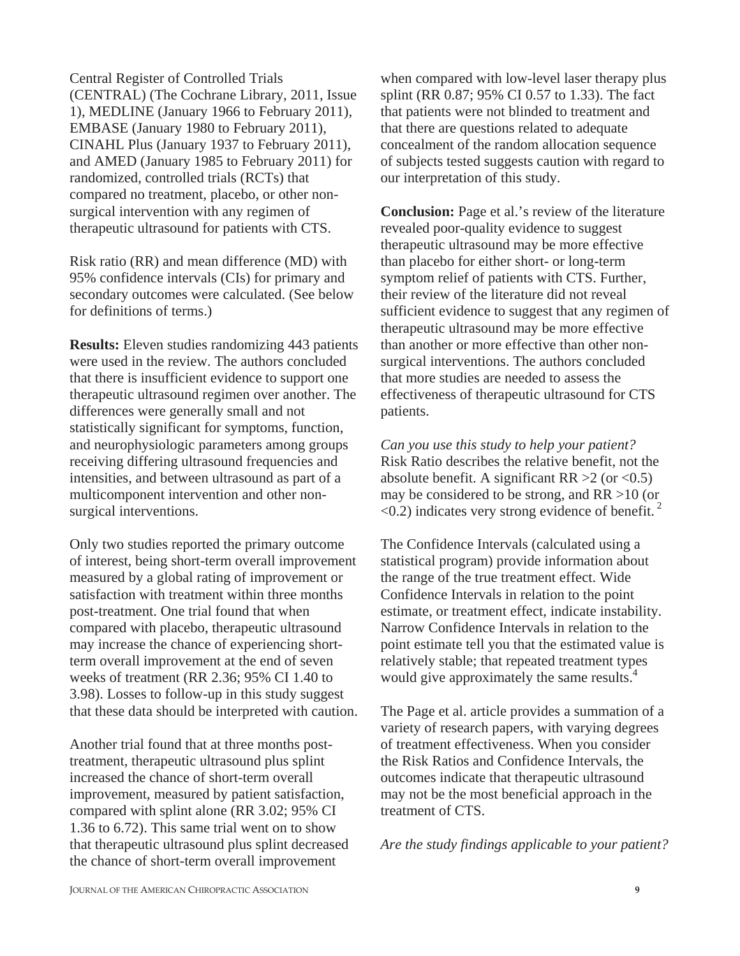Central Register of Controlled Trials (CENTRAL) (The Cochrane Library, 2011, Issue 1), MEDLINE (January 1966 to February 2011), EMBASE (January 1980 to February 2011), CINAHL Plus (January 1937 to February 2011), and AMED (January 1985 to February 2011) for randomized, controlled trials (RCTs) that compared no treatment, placebo, or other nonsurgical intervention with any regimen of therapeutic ultrasound for patients with CTS.

Risk ratio (RR) and mean difference (MD) with 95% confidence intervals (CIs) for primary and secondary outcomes were calculated. (See below for definitions of terms.)

**Results:** Eleven studies randomizing 443 patients were used in the review. The authors concluded that there is insufficient evidence to support one therapeutic ultrasound regimen over another. The differences were generally small and not statistically significant for symptoms, function, and neurophysiologic parameters among groups receiving differing ultrasound frequencies and intensities, and between ultrasound as part of a multicomponent intervention and other nonsurgical interventions.

Only two studies reported the primary outcome of interest, being short-term overall improvement measured by a global rating of improvement or satisfaction with treatment within three months post-treatment. One trial found that when compared with placebo, therapeutic ultrasound may increase the chance of experiencing shortterm overall improvement at the end of seven weeks of treatment (RR 2.36; 95% CI 1.40 to 3.98). Losses to follow-up in this study suggest that these data should be interpreted with caution.

Another trial found that at three months posttreatment, therapeutic ultrasound plus splint increased the chance of short-term overall improvement, measured by patient satisfaction, compared with splint alone (RR 3.02; 95% CI 1.36 to 6.72). This same trial went on to show that therapeutic ultrasound plus splint decreased the chance of short-term overall improvement

when compared with low-level laser therapy plus splint (RR 0.87; 95% CI 0.57 to 1.33). The fact that patients were not blinded to treatment and that there are questions related to adequate concealment of the random allocation sequence of subjects tested suggests caution with regard to our interpretation of this study.

**Conclusion:** Page et al.'s review of the literature revealed poor-quality evidence to suggest therapeutic ultrasound may be more effective than placebo for either short- or long-term symptom relief of patients with CTS. Further, their review of the literature did not reveal sufficient evidence to suggest that any regimen of therapeutic ultrasound may be more effective than another or more effective than other nonsurgical interventions. The authors concluded that more studies are needed to assess the effectiveness of therapeutic ultrasound for CTS patients.

*Can you use this study to help your patient?*  Risk Ratio describes the relative benefit, not the absolute benefit. A significant  $RR > 2$  (or <0.5) may be considered to be strong, and RR >10 (or  $\leq$ 0.2) indicates very strong evidence of benefit.<sup>2</sup>

The Confidence Intervals (calculated using a statistical program) provide information about the range of the true treatment effect. Wide Confidence Intervals in relation to the point estimate, or treatment effect, indicate instability. Narrow Confidence Intervals in relation to the point estimate tell you that the estimated value is relatively stable; that repeated treatment types would give approximately the same results.<sup>4</sup>

The Page et al. article provides a summation of a variety of research papers, with varying degrees of treatment effectiveness. When you consider the Risk Ratios and Confidence Intervals, the outcomes indicate that therapeutic ultrasound may not be the most beneficial approach in the treatment of CTS.

*Are the study findings applicable to your patient?*